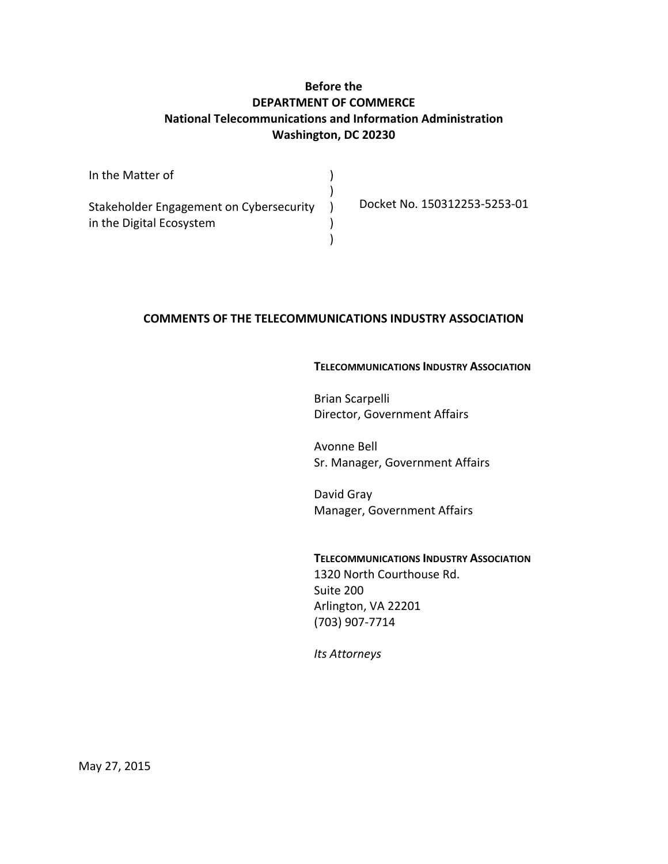# **Before the DEPARTMENT OF COMMERCE National Telecommunications and Information Administration Washington, DC 20230**

| In the Matter of                        |                              |
|-----------------------------------------|------------------------------|
| Stakeholder Engagement on Cybersecurity | Docket No. 150312253-5253-01 |
| in the Digital Ecosystem                |                              |
|                                         |                              |

## **COMMENTS OF THE TELECOMMUNICATIONS INDUSTRY ASSOCIATION**

### **TELECOMMUNICATIONS INDUSTRY ASSOCIATION**

Brian Scarpelli Director, Government Affairs

Avonne Bell Sr. Manager, Government Affairs

David Gray Manager, Government Affairs

# **TELECOMMUNICATIONS INDUSTRY ASSOCIATION** 1320 North Courthouse Rd. Suite 200 Arlington, VA 22201 (703) 907-7714

*Its Attorneys*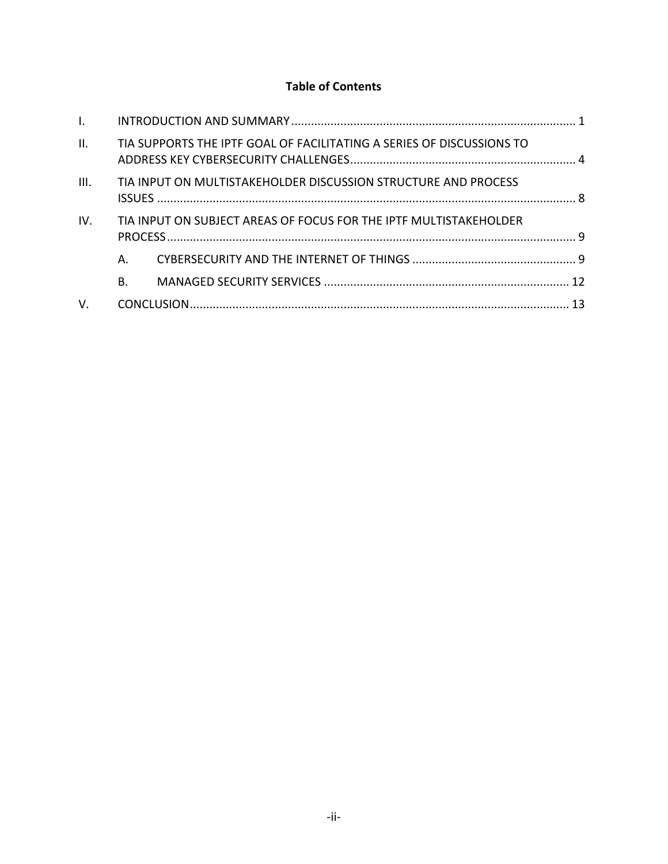# **Table of Contents**

| $\mathbf{L}$ |           |                                                                       |  |
|--------------|-----------|-----------------------------------------------------------------------|--|
| II.          |           | TIA SUPPORTS THE IPTF GOAL OF FACILITATING A SERIES OF DISCUSSIONS TO |  |
| III.         |           | TIA INPUT ON MULTISTAKEHOLDER DISCUSSION STRUCTURE AND PROCESS        |  |
| IV.          |           | TIA INPUT ON SUBJECT AREAS OF FOCUS FOR THE IPTF MULTISTAKEHOLDER     |  |
|              | А.        |                                                                       |  |
|              | <b>B.</b> |                                                                       |  |
| V.           |           |                                                                       |  |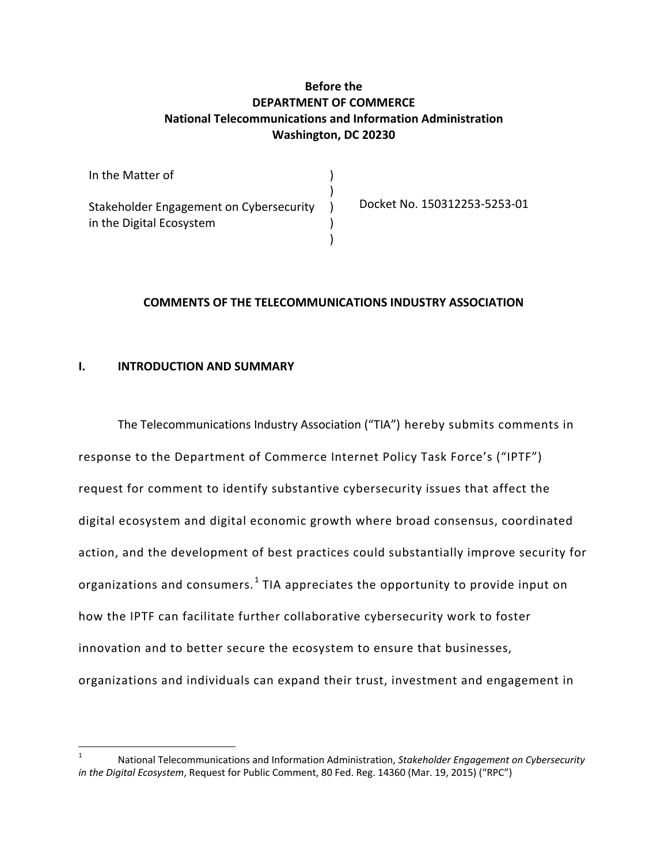## **Before the DEPARTMENT OF COMMERCE National Telecommunications and Information Administration Washington, DC 20230**

| In the Matter of                                                    |                              |
|---------------------------------------------------------------------|------------------------------|
| Stakeholder Engagement on Cybersecurity<br>in the Digital Ecosystem | Docket No. 150312253-5253-01 |
|                                                                     |                              |

## **COMMENTS OF THE TELECOMMUNICATIONS INDUSTRY ASSOCIATION**

### <span id="page-2-0"></span>**I. INTRODUCTION AND SUMMARY**

The Telecommunications Industry Association ("TIA") hereby submits comments in response to the Department of Commerce Internet Policy Task Force's ("IPTF") request for comment to identify substantive cybersecurity issues that affect the digital ecosystem and digital economic growth where broad consensus, coordinated action, and the development of best practices could substantially improve security for organizations and consumers.<sup>[1](#page-2-1)</sup> TIA appreciates the opportunity to provide input on how the IPTF can facilitate further collaborative cybersecurity work to foster innovation and to better secure the ecosystem to ensure that businesses, organizations and individuals can expand their trust, investment and engagement in

<span id="page-2-1"></span><sup>1</sup> National Telecommunications and Information Administration, *Stakeholder Engagement on Cybersecurity in the Digital Ecosystem*, Request for Public Comment, 80 Fed. Reg. 14360 (Mar. 19, 2015) ("RPC")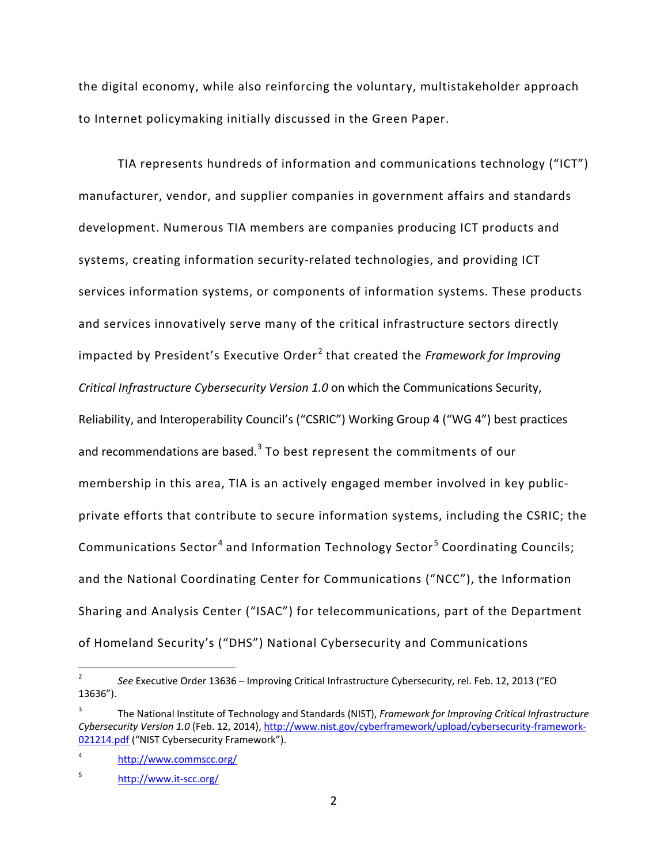the digital economy, while also reinforcing the voluntary, multistakeholder approach to Internet policymaking initially discussed in the Green Paper.

TIA represents hundreds of information and communications technology ("ICT") manufacturer, vendor, and supplier companies in government affairs and standards development. Numerous TIA members are companies producing ICT products and systems, creating information security-related technologies, and providing ICT services information systems, or components of information systems. These products and services innovatively serve many of the critical infrastructure sectors directly impacted by President's Executive Order<sup>[2](#page-3-0)</sup> that created the *Framework for Improving Critical Infrastructure Cybersecurity Version 1.0* on which the Communications Security, Reliability, and Interoperability Council's ("CSRIC") Working Group 4 ("WG 4") best practices and recommendations are based. $3$  To best represent the commitments of our membership in this area, TIA is an actively engaged member involved in key publicprivate efforts that contribute to secure information systems, including the CSRIC; the Communications Sector<sup>[4](#page-3-2)</sup> and Information Technology Sector<sup>[5](#page-3-3)</sup> Coordinating Councils; and the National Coordinating Center for Communications ("NCC"), the Information Sharing and Analysis Center ("ISAC") for telecommunications, part of the Department of Homeland Security's ("DHS") National Cybersecurity and Communications

<span id="page-3-0"></span><sup>2</sup> *See* Executive Order 13636 – Improving Critical Infrastructure Cybersecurity, rel. Feb. 12, 2013 ("EO 13636").

<span id="page-3-1"></span><sup>3</sup> The National Institute of Technology and Standards (NIST), *Framework for Improving Critical Infrastructure Cybersecurity Version 1.0* (Feb. 12, 2014), [http://www.nist.gov/cyberframework/upload/cybersecurity-framework-](http://www.nist.gov/cyberframework/upload/cybersecurity-framework-021214.pdf)[021214.pdf](http://www.nist.gov/cyberframework/upload/cybersecurity-framework-021214.pdf) ("NIST Cybersecurity Framework").

<span id="page-3-2"></span><sup>4</sup> <http://www.commscc.org/>

<span id="page-3-3"></span><sup>5</sup> <http://www.it-scc.org/>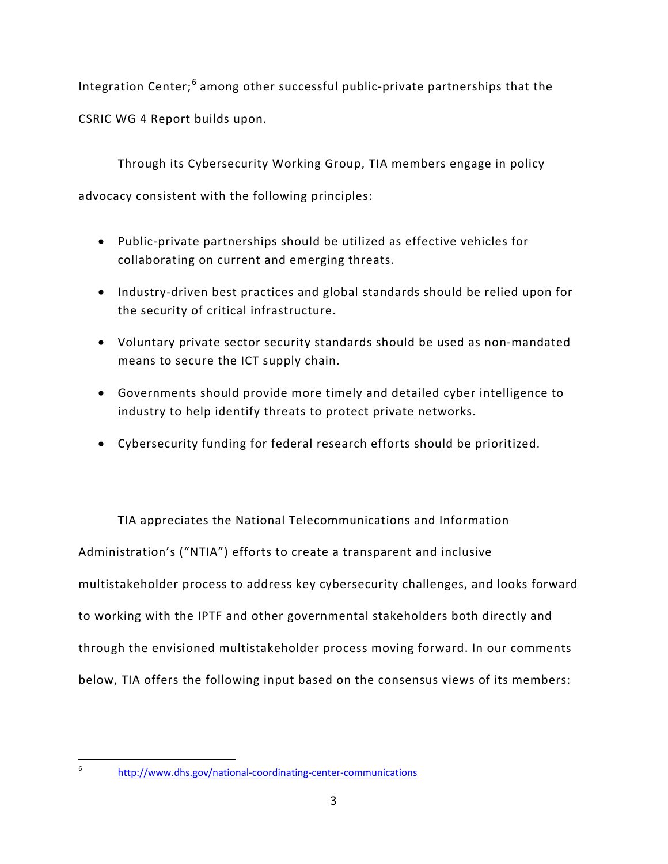Integration Center;  $6$  among other successful public-private partnerships that the CSRIC WG 4 Report builds upon.

Through its Cybersecurity Working Group, TIA members engage in policy advocacy consistent with the following principles:

- Public-private partnerships should be utilized as effective vehicles for collaborating on current and emerging threats.
- Industry-driven best practices and global standards should be relied upon for the security of critical infrastructure.
- Voluntary private sector security standards should be used as non-mandated means to secure the ICT supply chain.
- Governments should provide more timely and detailed cyber intelligence to industry to help identify threats to protect private networks.
- Cybersecurity funding for federal research efforts should be prioritized.

TIA appreciates the National Telecommunications and Information Administration's ("NTIA") efforts to create a transparent and inclusive multistakeholder process to address key cybersecurity challenges, and looks forward to working with the IPTF and other governmental stakeholders both directly and through the envisioned multistakeholder process moving forward. In our comments below, TIA offers the following input based on the consensus views of its members:

<span id="page-4-0"></span><sup>6</sup> <http://www.dhs.gov/national-coordinating-center-communications>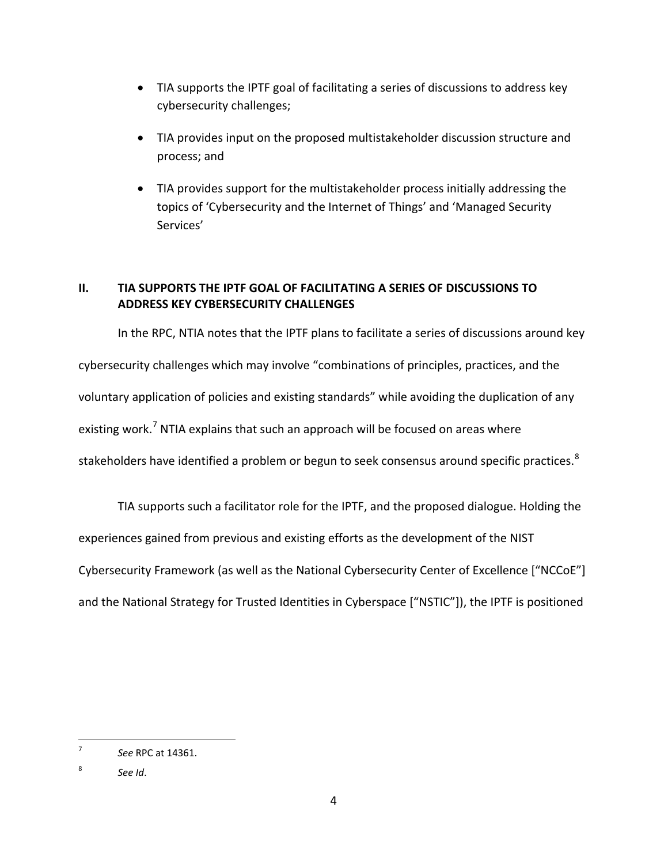- TIA supports the IPTF goal of facilitating a series of discussions to address key cybersecurity challenges;
- TIA provides input on the proposed multistakeholder discussion structure and process; and
- TIA provides support for the multistakeholder process initially addressing the topics of 'Cybersecurity and the Internet of Things' and 'Managed Security Services'

# <span id="page-5-0"></span>**II. TIA SUPPORTS THE IPTF GOAL OF FACILITATING A SERIES OF DISCUSSIONS TO ADDRESS KEY CYBERSECURITY CHALLENGES**

In the RPC, NTIA notes that the IPTF plans to facilitate a series of discussions around key cybersecurity challenges which may involve "combinations of principles, practices, and the voluntary application of policies and existing standards" while avoiding the duplication of any existing work.<sup>[7](#page-5-1)</sup> NTIA explains that such an approach will be focused on areas where stakeholders have identified a problem or begun to seek consensus around specific practices.<sup>[8](#page-5-2)</sup>

TIA supports such a facilitator role for the IPTF, and the proposed dialogue. Holding the

experiences gained from previous and existing efforts as the development of the NIST

Cybersecurity Framework (as well as the National Cybersecurity Center of Excellence ["NCCoE"]

and the National Strategy for Trusted Identities in Cyberspace ["NSTIC"]), the IPTF is positioned

<span id="page-5-1"></span><sup>7</sup> *See* RPC at 14361.

<span id="page-5-2"></span><sup>8</sup> *See Id*.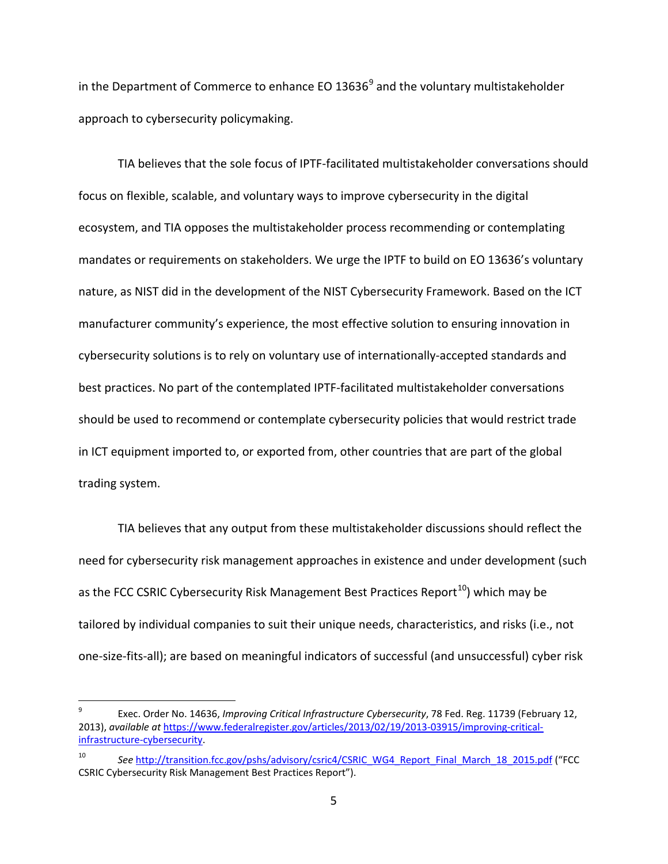in the Department of Commerce to enhance EO 13636 $^9$  $^9$  and the voluntary multistakeholder approach to cybersecurity policymaking.

TIA believes that the sole focus of IPTF-facilitated multistakeholder conversations should focus on flexible, scalable, and voluntary ways to improve cybersecurity in the digital ecosystem, and TIA opposes the multistakeholder process recommending or contemplating mandates or requirements on stakeholders. We urge the IPTF to build on EO 13636's voluntary nature, as NIST did in the development of the NIST Cybersecurity Framework. Based on the ICT manufacturer community's experience, the most effective solution to ensuring innovation in cybersecurity solutions is to rely on voluntary use of internationally-accepted standards and best practices. No part of the contemplated IPTF-facilitated multistakeholder conversations should be used to recommend or contemplate cybersecurity policies that would restrict trade in ICT equipment imported to, or exported from, other countries that are part of the global trading system.

TIA believes that any output from these multistakeholder discussions should reflect the need for cybersecurity risk management approaches in existence and under development (such as the FCC CSRIC Cybersecurity Risk Management Best Practices Report<sup>10</sup>) which may be tailored by individual companies to suit their unique needs, characteristics, and risks (i.e., not one-size-fits-all); are based on meaningful indicators of successful (and unsuccessful) cyber risk

<span id="page-6-0"></span><sup>9</sup> Exec. Order No. 14636, *Improving Critical Infrastructure Cybersecurity*, 78 Fed. Reg. 11739 (February 12, 2013), *available at* [https://www.federalregister.gov/articles/2013/02/19/2013-03915/improving-critical](https://www.federalregister.gov/articles/2013/02/19/2013-03915/improving-critical-infrastructure-cybersecurity)[infrastructure-cybersecurity.](https://www.federalregister.gov/articles/2013/02/19/2013-03915/improving-critical-infrastructure-cybersecurity)

<span id="page-6-1"></span>See [http://transition.fcc.gov/pshs/advisory/csric4/CSRIC\\_WG4\\_Report\\_Final\\_March\\_18\\_2015.pdf](http://transition.fcc.gov/pshs/advisory/csric4/CSRIC_WG4_Report_Final_March_18_2015.pdf) ("FCC\_ CSRIC Cybersecurity Risk Management Best Practices Report").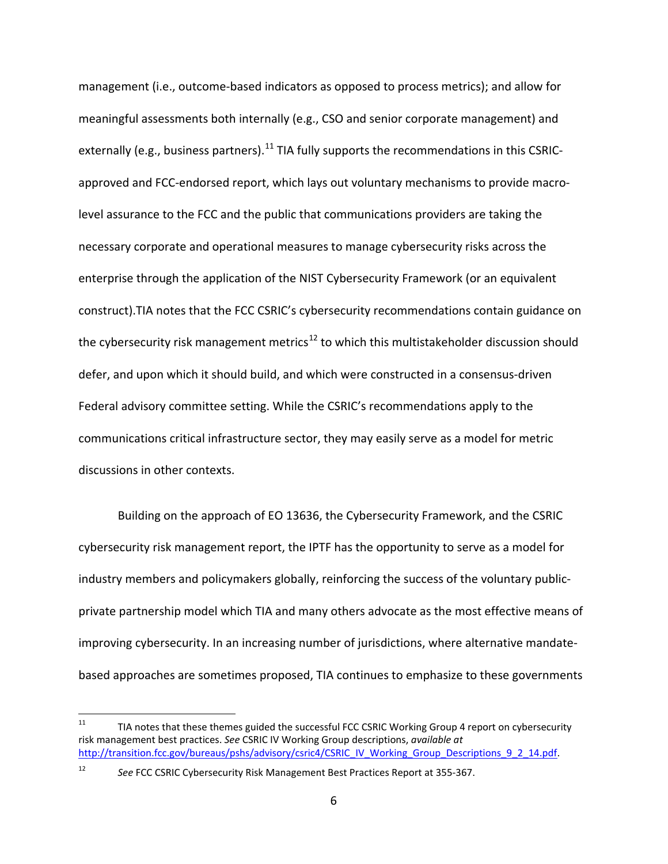management (i.e., outcome-based indicators as opposed to process metrics); and allow for meaningful assessments both internally (e.g., CSO and senior corporate management) and externally (e.g., business partners).<sup>[11](#page-7-0)</sup> TIA fully supports the recommendations in this CSRICapproved and FCC-endorsed report, which lays out voluntary mechanisms to provide macrolevel assurance to the FCC and the public that communications providers are taking the necessary corporate and operational measures to manage cybersecurity risks across the enterprise through the application of the NIST Cybersecurity Framework (or an equivalent construct).TIA notes that the FCC CSRIC's cybersecurity recommendations contain guidance on the cybersecurity risk management metrics<sup>[12](#page-7-1)</sup> to which this multistakeholder discussion should defer, and upon which it should build, and which were constructed in a consensus-driven Federal advisory committee setting. While the CSRIC's recommendations apply to the communications critical infrastructure sector, they may easily serve as a model for metric discussions in other contexts.

Building on the approach of EO 13636, the Cybersecurity Framework, and the CSRIC cybersecurity risk management report, the IPTF has the opportunity to serve as a model for industry members and policymakers globally, reinforcing the success of the voluntary publicprivate partnership model which TIA and many others advocate as the most effective means of improving cybersecurity. In an increasing number of jurisdictions, where alternative mandatebased approaches are sometimes proposed, TIA continues to emphasize to these governments

<span id="page-7-0"></span> $11$  TIA notes that these themes guided the successful FCC CSRIC Working Group 4 report on cybersecurity risk management best practices. *See* CSRIC IV Working Group descriptions, *available at* [http://transition.fcc.gov/bureaus/pshs/advisory/csric4/CSRIC\\_IV\\_Working\\_Group\\_Descriptions\\_9\\_2\\_14.pdf.](http://transition.fcc.gov/bureaus/pshs/advisory/csric4/CSRIC_IV_Working_Group_Descriptions_9_2_14.pdf)

<span id="page-7-1"></span><sup>12</sup> *See* FCC CSRIC Cybersecurity Risk Management Best Practices Report at 355-367.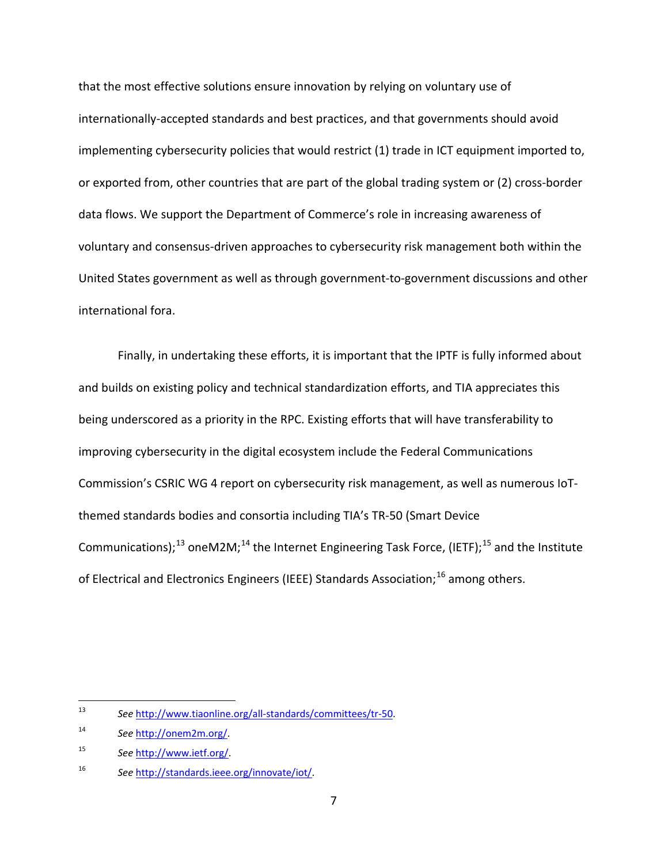that the most effective solutions ensure innovation by relying on voluntary use of internationally-accepted standards and best practices, and that governments should avoid implementing cybersecurity policies that would restrict (1) trade in ICT equipment imported to, or exported from, other countries that are part of the global trading system or (2) cross-border data flows. We support the Department of Commerce's role in increasing awareness of voluntary and consensus-driven approaches to cybersecurity risk management both within the United States government as well as through government-to-government discussions and other international fora.

Finally, in undertaking these efforts, it is important that the IPTF is fully informed about and builds on existing policy and technical standardization efforts, and TIA appreciates this being underscored as a priority in the RPC. Existing efforts that will have transferability to improving cybersecurity in the digital ecosystem include the Federal Communications Commission's CSRIC WG 4 report on cybersecurity risk management, as well as numerous IoTthemed standards bodies and consortia including TIA's TR-50 (Smart Device Communications);<sup>[13](#page-8-0)</sup> oneM2M;<sup>[14](#page-8-1)</sup> the Internet Engineering Task Force, (IETF);<sup>[15](#page-8-2)</sup> and the Institute of Electrical and Electronics Engineers (IEEE) Standards Association;<sup>[16](#page-8-3)</sup> among others.

<span id="page-8-0"></span><sup>13</sup> *See* [http://www.tiaonline.org/all-standards/committees/tr-50.](http://www.tiaonline.org/all-standards/committees/tr-50)

<span id="page-8-1"></span><sup>14</sup> *See* [http://onem2m.org/.](http://onem2m.org/)

<span id="page-8-2"></span><sup>15</sup> *See* [http://www.ietf.org/.](http://www.ietf.org/)

<span id="page-8-3"></span><sup>16</sup> *See* [http://standards.ieee.org/innovate/iot/.](http://standards.ieee.org/innovate/iot/)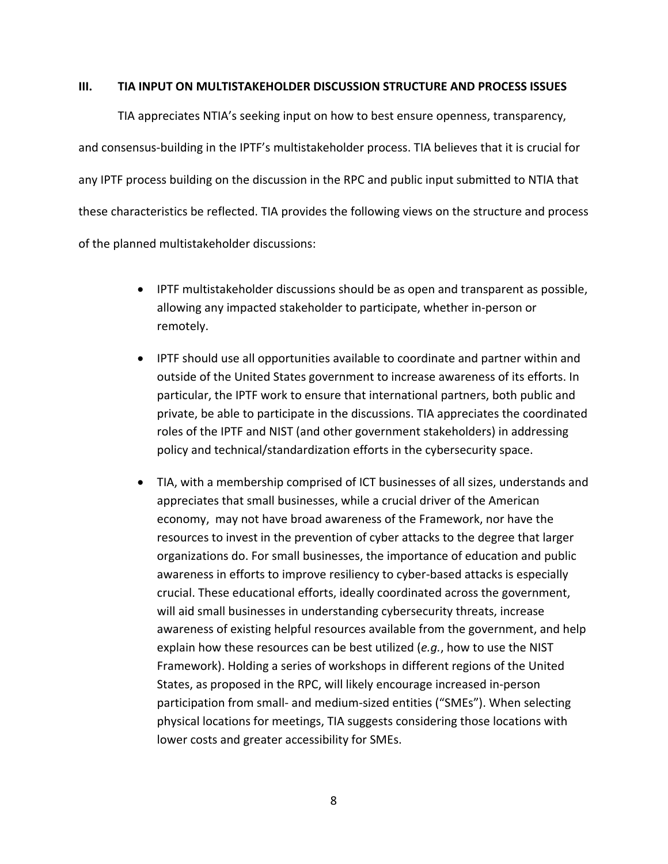#### <span id="page-9-0"></span>**III. TIA INPUT ON MULTISTAKEHOLDER DISCUSSION STRUCTURE AND PROCESS ISSUES**

TIA appreciates NTIA's seeking input on how to best ensure openness, transparency, and consensus-building in the IPTF's multistakeholder process. TIA believes that it is crucial for any IPTF process building on the discussion in the RPC and public input submitted to NTIA that these characteristics be reflected. TIA provides the following views on the structure and process of the planned multistakeholder discussions:

- IPTF multistakeholder discussions should be as open and transparent as possible, allowing any impacted stakeholder to participate, whether in-person or remotely.
- IPTF should use all opportunities available to coordinate and partner within and outside of the United States government to increase awareness of its efforts. In particular, the IPTF work to ensure that international partners, both public and private, be able to participate in the discussions. TIA appreciates the coordinated roles of the IPTF and NIST (and other government stakeholders) in addressing policy and technical/standardization efforts in the cybersecurity space.
- TIA, with a membership comprised of ICT businesses of all sizes, understands and appreciates that small businesses, while a crucial driver of the American economy, may not have broad awareness of the Framework, nor have the resources to invest in the prevention of cyber attacks to the degree that larger organizations do. For small businesses, the importance of education and public awareness in efforts to improve resiliency to cyber-based attacks is especially crucial. These educational efforts, ideally coordinated across the government, will aid small businesses in understanding cybersecurity threats, increase awareness of existing helpful resources available from the government, and help explain how these resources can be best utilized (*e.g.*, how to use the NIST Framework). Holding a series of workshops in different regions of the United States, as proposed in the RPC, will likely encourage increased in-person participation from small- and medium-sized entities ("SMEs"). When selecting physical locations for meetings, TIA suggests considering those locations with lower costs and greater accessibility for SMEs.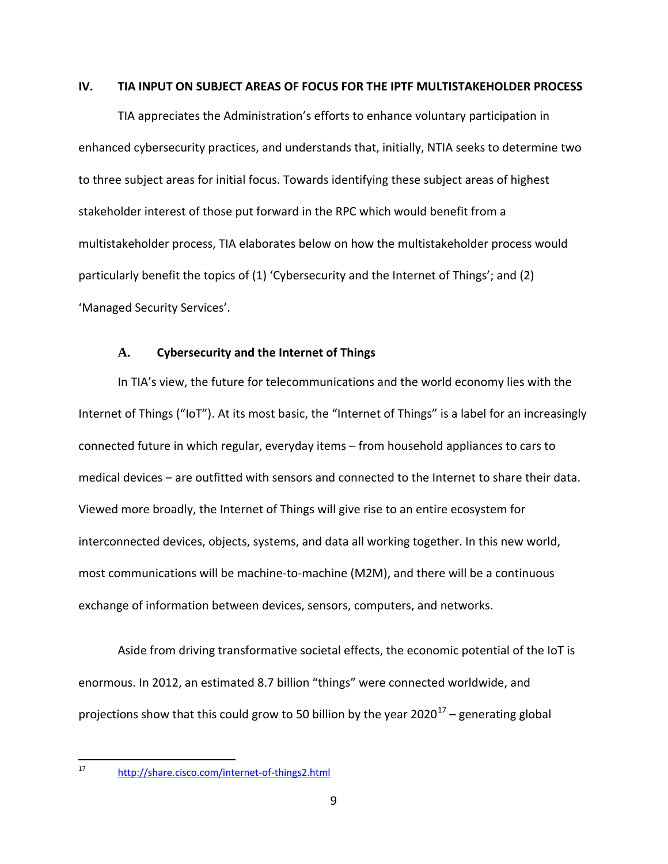#### <span id="page-10-0"></span>**IV. TIA INPUT ON SUBJECT AREAS OF FOCUS FOR THE IPTF MULTISTAKEHOLDER PROCESS**

TIA appreciates the Administration's efforts to enhance voluntary participation in enhanced cybersecurity practices, and understands that, initially, NTIA seeks to determine two to three subject areas for initial focus. Towards identifying these subject areas of highest stakeholder interest of those put forward in the RPC which would benefit from a multistakeholder process, TIA elaborates below on how the multistakeholder process would particularly benefit the topics of (1) 'Cybersecurity and the Internet of Things'; and (2) 'Managed Security Services'.

### **A. Cybersecurity and the Internet of Things**

<span id="page-10-1"></span>In TIA's view, the future for telecommunications and the world economy lies with the Internet of Things ("IoT"). At its most basic, the "Internet of Things" is a label for an increasingly connected future in which regular, everyday items – from household appliances to cars to medical devices – are outfitted with sensors and connected to the Internet to share their data. Viewed more broadly, the Internet of Things will give rise to an entire ecosystem for interconnected devices, objects, systems, and data all working together. In this new world, most communications will be machine-to-machine (M2M), and there will be a continuous exchange of information between devices, sensors, computers, and networks.

Aside from driving transformative societal effects, the economic potential of the IoT is enormous. In 2012, an estimated 8.7 billion "things" were connected worldwide, and projections show that this could grow to 50 billion by the year 2020<sup>[17](#page-10-2)</sup> – generating global

<span id="page-10-2"></span><sup>17</sup> <http://share.cisco.com/internet-of-things2.html>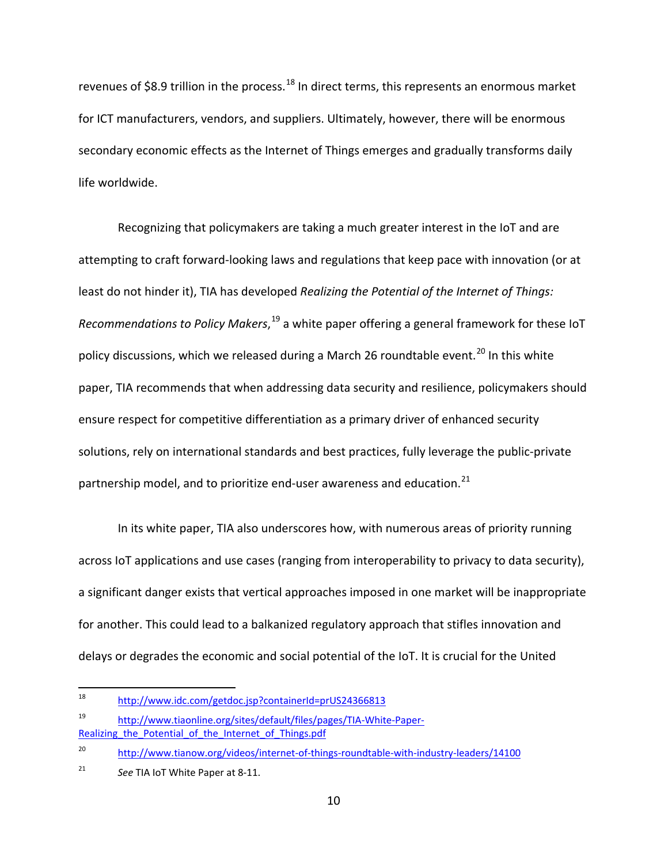revenues of \$8.9 trillion in the process.<sup>[18](#page-11-0)</sup> In direct terms, this represents an enormous market for ICT manufacturers, vendors, and suppliers. Ultimately, however, there will be enormous secondary economic effects as the Internet of Things emerges and gradually transforms daily life worldwide.

Recognizing that policymakers are taking a much greater interest in the IoT and are attempting to craft forward-looking laws and regulations that keep pace with innovation (or at least do not hinder it), TIA has developed *Realizing the Potential of the Internet of Things:*  Recommendations to Policy Makers,<sup>[19](#page-11-1)</sup> a white paper offering a general framework for these IoT policy discussions, which we released during a March 26 roundtable event.<sup>[20](#page-11-2)</sup> In this white paper, TIA recommends that when addressing data security and resilience, policymakers should ensure respect for competitive differentiation as a primary driver of enhanced security solutions, rely on international standards and best practices, fully leverage the public-private partnership model, and to prioritize end-user awareness and education.<sup>[21](#page-11-3)</sup>

In its white paper, TIA also underscores how, with numerous areas of priority running across IoT applications and use cases (ranging from interoperability to privacy to data security), a significant danger exists that vertical approaches imposed in one market will be inappropriate for another. This could lead to a balkanized regulatory approach that stifles innovation and delays or degrades the economic and social potential of the IoT. It is crucial for the United

<span id="page-11-0"></span><sup>18</sup> <http://www.idc.com/getdoc.jsp?containerId=prUS24366813>

<span id="page-11-1"></span><sup>19</sup> [http://www.tiaonline.org/sites/default/files/pages/TIA-White-Paper-](http://www.tiaonline.org/sites/default/files/pages/TIA-White-Paper-Realizing_the_Potential_of_the_Internet_of_Things.pdf)Realizing the Potential of the Internet of Things.pdf

<span id="page-11-2"></span><sup>&</sup>lt;sup>20</sup> <http://www.tianow.org/videos/internet-of-things-roundtable-with-industry-leaders/14100>

<span id="page-11-3"></span><sup>21</sup> *See* TIA IoT White Paper at 8-11.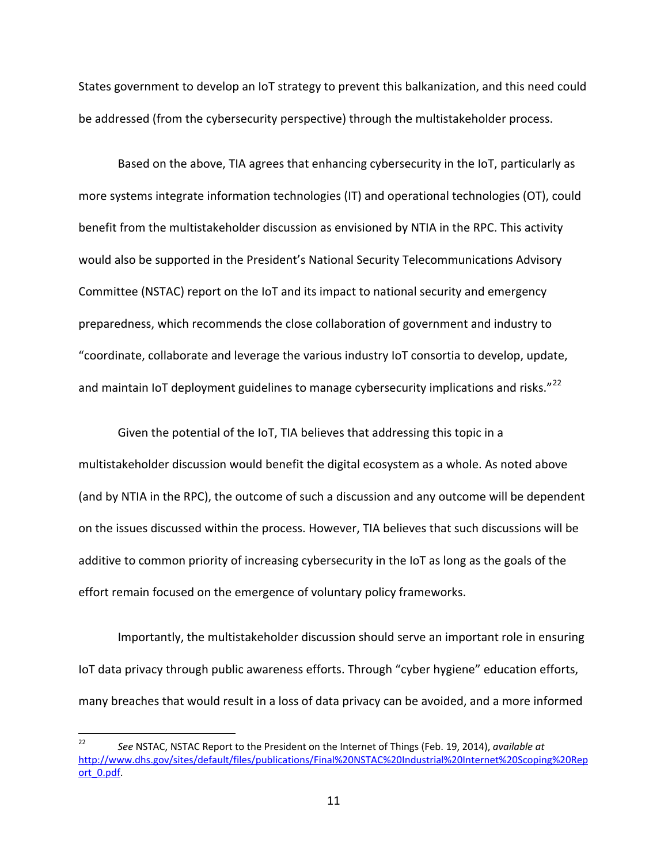States government to develop an IoT strategy to prevent this balkanization, and this need could be addressed (from the cybersecurity perspective) through the multistakeholder process.

Based on the above, TIA agrees that enhancing cybersecurity in the IoT, particularly as more systems integrate information technologies (IT) and operational technologies (OT), could benefit from the multistakeholder discussion as envisioned by NTIA in the RPC. This activity would also be supported in the President's National Security Telecommunications Advisory Committee (NSTAC) report on the IoT and its impact to national security and emergency preparedness, which recommends the close collaboration of government and industry to "coordinate, collaborate and leverage the various industry IoT consortia to develop, update, and maintain IoT deployment guidelines to manage cybersecurity implications and risks."<sup>[22](#page-12-0)</sup>

Given the potential of the IoT, TIA believes that addressing this topic in a multistakeholder discussion would benefit the digital ecosystem as a whole. As noted above (and by NTIA in the RPC), the outcome of such a discussion and any outcome will be dependent on the issues discussed within the process. However, TIA believes that such discussions will be additive to common priority of increasing cybersecurity in the IoT as long as the goals of the effort remain focused on the emergence of voluntary policy frameworks.

Importantly, the multistakeholder discussion should serve an important role in ensuring IoT data privacy through public awareness efforts. Through "cyber hygiene" education efforts, many breaches that would result in a loss of data privacy can be avoided, and a more informed

<span id="page-12-0"></span><sup>22</sup> *See* NSTAC, NSTAC Report to the President on the Internet of Things (Feb. 19, 2014), *available at* [http://www.dhs.gov/sites/default/files/publications/Final%20NSTAC%20Industrial%20Internet%20Scoping%20Rep](http://www.dhs.gov/sites/default/files/publications/Final%20NSTAC%20Industrial%20Internet%20Scoping%20Report_0.pdf) [ort\\_0.pdf.](http://www.dhs.gov/sites/default/files/publications/Final%20NSTAC%20Industrial%20Internet%20Scoping%20Report_0.pdf)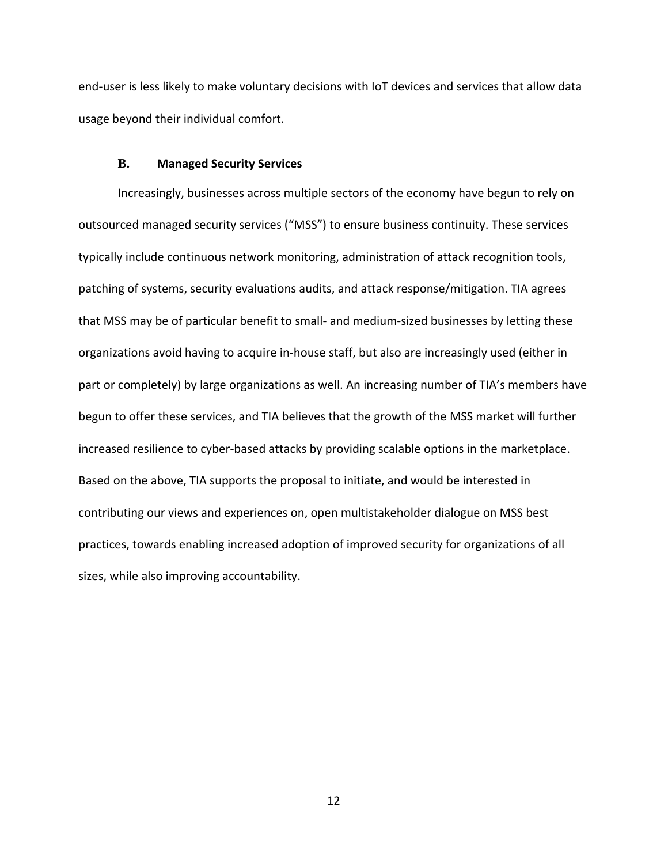end-user is less likely to make voluntary decisions with IoT devices and services that allow data usage beyond their individual comfort.

### **B. Managed Security Services**

<span id="page-13-0"></span>Increasingly, businesses across multiple sectors of the economy have begun to rely on outsourced managed security services ("MSS") to ensure business continuity. These services typically include continuous network monitoring, administration of attack recognition tools, patching of systems, security evaluations audits, and attack response/mitigation. TIA agrees that MSS may be of particular benefit to small- and medium-sized businesses by letting these organizations avoid having to acquire in-house staff, but also are increasingly used (either in part or completely) by large organizations as well. An increasing number of TIA's members have begun to offer these services, and TIA believes that the growth of the MSS market will further increased resilience to cyber-based attacks by providing scalable options in the marketplace. Based on the above, TIA supports the proposal to initiate, and would be interested in contributing our views and experiences on, open multistakeholder dialogue on MSS best practices, towards enabling increased adoption of improved security for organizations of all sizes, while also improving accountability.

12